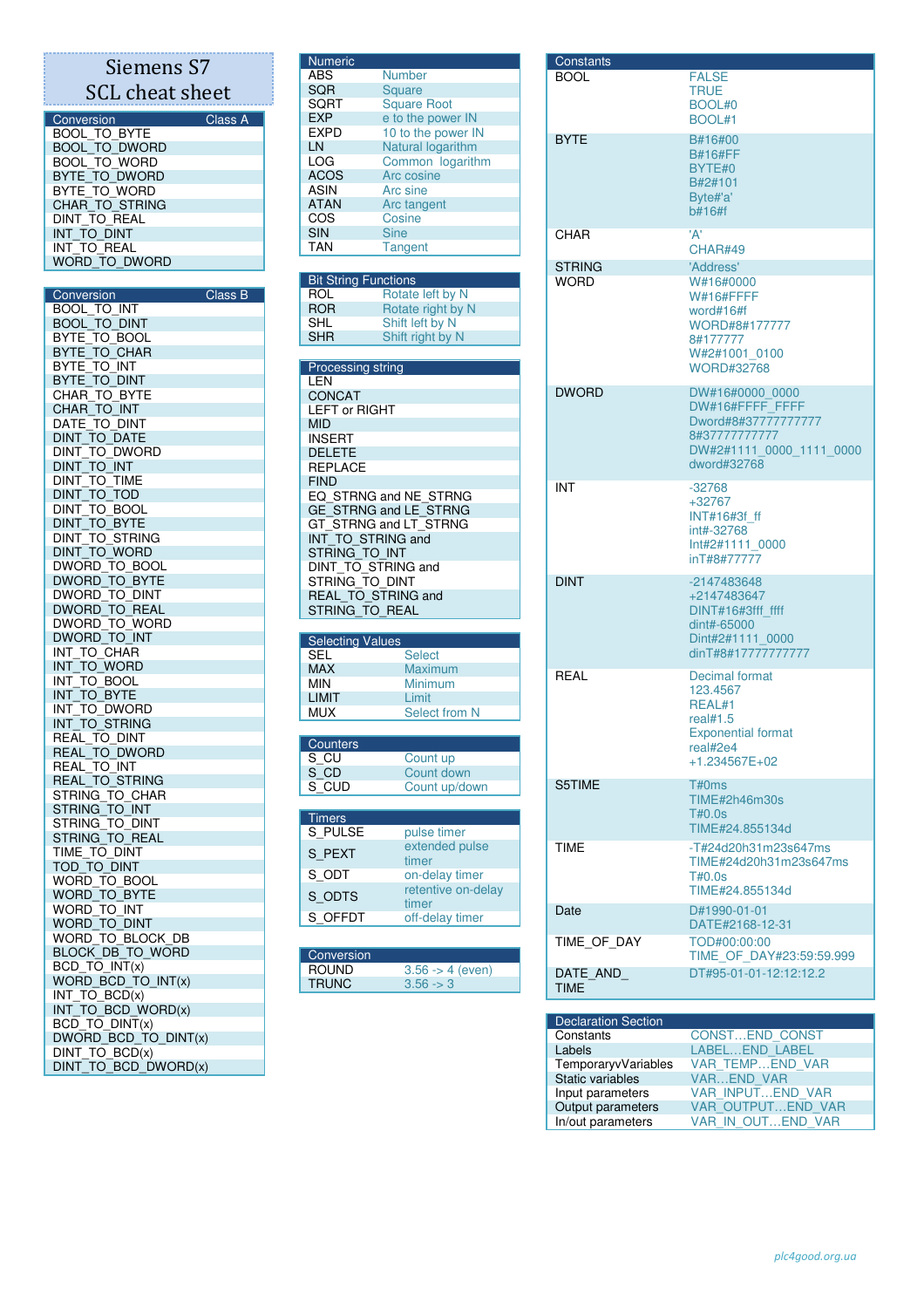## Siemens S7 SCL cheat sheet

| Conversion           | Class A |
|----------------------|---------|
| <b>BOOL TO BYTE</b>  |         |
| <b>BOOL TO DWORD</b> |         |
| <b>BOOL TO WORD</b>  |         |
| BYTE TO DWORD        |         |
| BYTE TO WORD         |         |
| CHAR_TO_STRING       |         |
| DINT TO REAL         |         |
| INT TO DINT          |         |
| INT TO REAL          |         |
| WORD TO DWORD        |         |

| Conversion                                                | Class B |
|-----------------------------------------------------------|---------|
| <b>BOOL TO INT</b>                                        |         |
| $\overline{\phantom{a}}$ TO $\overline{\phantom{a}}$ DINT |         |
| BOOL_TO_DINT<br>BYTE_TO_BOOL<br>BYTE_TO_CHAR              |         |
|                                                           |         |
| BYTE <sup>TO</sup> INT                                    |         |
|                                                           |         |
| <b>BYTE_TO_DINT<br/>CHAR_TO_BYTE</b>                      |         |
| CHAR TO INT                                               |         |
| DATE TO DINT                                              |         |
|                                                           |         |
| TO_DATE<br>DINT_                                          |         |
| DINT<br>to dword                                          |         |
| DINT_TO_INT<br>DINT_TO_INT<br>DINT_TO_TIME                |         |
|                                                           |         |
| DINT_TO_TOD<br>DINT_TO_TOD<br>DINT_TO_BOOL                |         |
|                                                           |         |
| <b>DINT TO BYTE</b>                                       |         |
| DINT TO STRING                                            |         |
| <b>DINT TO WORD</b>                                       |         |
| DWORD TO BOOL                                             |         |
| DWORD_TO_BYTE<br>DWORD_TO_DINT                            |         |
|                                                           |         |
| DWORD_TO_REAL                                             |         |
| DWORD TO WORD                                             |         |
| DWORD TO INT                                              |         |
| INT TO CHAR                                               |         |
| INT_TO_MORD                                               |         |
| TO_BOOL<br>INT                                            |         |
|                                                           |         |
| INT_TO_BYTE<br>INT_TO_BYTE<br>INT_TO_DWORD                |         |
| INT TO STRING                                             |         |
| REAL_TO_DINT                                              |         |
| REAL_TO_DWORD                                             |         |
| REAL TO INT                                               |         |
| REAL TO STRING                                            |         |
|                                                           |         |
| STRING_TO_CHAR                                            |         |
| string_to_int<br>String_to_dint                           |         |
| STRING_TO_REAL                                            |         |
| TIME TO DINT                                              |         |
| TOD_TO_DINT                                               |         |
| WORD_TO_BOOL                                              |         |
|                                                           |         |
| WORD_TO_BYTE<br>WORD_TO_INT                               |         |
| WORD_TO_DINT                                              |         |
| WORD TO BLOCK DB                                          |         |
| BLOCK_DB_TO_WORD                                          |         |
|                                                           |         |
| BCD TO INT(x)                                             |         |
| WORD BCD TO INT(x)                                        |         |
| INT_TO_BCD(x)                                             |         |
| INT_TO_BCD_WORD(x)                                        |         |
| BCD_TO_DINT(x)                                            |         |
| DWORD BCD TO DINT(x)                                      |         |
| DINT_TO_BCD(x)                                            |         |
| DINT_TO_BCD_DWORD(x)                                      |         |

| <b>Numeric</b> |                    |
|----------------|--------------------|
| ABS            | <b>Number</b>      |
| SQR            | <b>Square</b>      |
| SQRT           | <b>Square Root</b> |
| <b>EXP</b>     | e to the power IN  |
| <b>EXPD</b>    | 10 to the power IN |
| LN             | Natural logarithm  |
| LOG            | Common logarithm   |
| <b>ACOS</b>    | Arc cosine         |
| ASIN           | Arc sine           |
| <b>ATAN</b>    | Arc tangent        |
| COS            | Cosine             |
| <b>SIN</b>     | <b>Sine</b>        |
| TAN            | <b>Tangent</b>     |
|                |                    |

| <b>Bit String Functions</b> |                   |  |
|-----------------------------|-------------------|--|
| ROL                         | Rotate left by N  |  |
| <b>ROR</b>                  | Rotate right by N |  |
| <b>SHL</b>                  | Shift left by N   |  |
| <b>SHR</b>                  | Shift right by N  |  |

| <b>Processing string</b>  |
|---------------------------|
| I FN                      |
| <b>CONCAT</b>             |
| <b>LEFT or RIGHT</b>      |
| <b>MID</b>                |
| INSERT                    |
| <b>DELETE</b>             |
| <b>REPLACE</b>            |
| <b>FIND</b>               |
| EQ STRNG and NE STRNG     |
| GE STRNG and LE STRNG     |
| GT STRNG and LT STRNG     |
| INT TO STRING and         |
| STRING TO INT             |
| DINT TO STRING and        |
| STRING_TO_DINT            |
| <b>REAL TO STRING and</b> |
| STRING TO REAL            |

| <b>Selecting Values</b> |               |
|-------------------------|---------------|
| <b>SEL</b>              | <b>Select</b> |
| <b>MAX</b>              | Maximum       |
| <b>MIN</b>              | Minimum       |
| <b>I IMIT</b>           | Limit         |
| MUX.                    | Select from N |
|                         |               |

| Counters     |               |
|--------------|---------------|
| S_CU<br>S_CD | Count up      |
|              | Count down    |
| S CUD        | Count up/down |
|              |               |

| <b>Timers</b> |                             |
|---------------|-----------------------------|
| S PULSE       | pulse timer                 |
| S_PEXT        | extended pulse<br>timer     |
| S_ODT         | on-delay timer              |
| S ODTS        | retentive on-delay<br>timer |
| S OFFDT       | off-delay timer             |
|               |                             |

| Conversion   |                             |
|--------------|-----------------------------|
| <b>ROUND</b> | $3.56 \rightarrow 4$ (even) |
| <b>TRUNC</b> | $3.56 \rightarrow 3$        |

| Constants     |                                                                                                                       |
|---------------|-----------------------------------------------------------------------------------------------------------------------|
| <b>BOOL</b>   | <b>FALSE</b><br><b>TRUE</b><br>BOOL#0<br>BOOL#1                                                                       |
| <b>BYTE</b>   | B#16#00<br><b>B#16#FF</b><br>BYTE#0<br>B#2#101<br>Byte#'a'<br>b#16#f                                                  |
| CHAR          | 'A'<br>CHAR#49                                                                                                        |
| <b>STRING</b> | 'Address'                                                                                                             |
| <b>WORD</b>   | W#16#0000<br><b>W#16#FFFF</b><br>word#16#f<br>WORD#8#177777<br>8#177777<br>W#2#1001 0100<br><b>WORD#32768</b>         |
| <b>DWORD</b>  | DW#16#0000 0000<br>DW#16#FFFF FFFF<br>Dword#8#37777777777<br>8#37777777777<br>DW#2#1111 0000 1111 0000<br>dword#32768 |
| INT           | $-32768$<br>+32767<br>INT#16#3f ff<br>int#-32768<br>Int#2#1111 0000<br>inT#8#777777                                   |
| <b>DINT</b>   | -2147483648<br>+2147483647<br>DINT#16#3fff ffff<br>dint#-65000<br>Dint#2#1111 0000<br>dinT#8#17777777777              |
| REAL          | Decimal format<br>123.4567<br>REAL#1<br>real#1.5<br><b>Exponential format</b><br>real#2e4<br>$+1.234567E+02$          |
| S5TIME        | T#0ms<br>TIME#2h46m30s<br>T#0.0s<br>TIME#24.855134d                                                                   |
| TIME          | -T#24d20h31m23s647ms<br>TIME#24d20h31m23s647ms<br>T#0.0s<br>TIME#24.855134d                                           |
| Date          | D#1990-01-01<br>DATE#2168-12-31                                                                                       |
| TIME OF DAY   | TOD#00:00:00<br>TIME OF DAY#23:59:59.999                                                                              |
| DATE AND      | DT#95-01-01-12:12:12.2                                                                                                |

| <b>Declaration Section</b> |                       |
|----------------------------|-----------------------|
| Constants                  | <b>CONSTEND CONST</b> |
| Labels                     | LABELEND LABEL        |
| TemporaryvVariables        | VAR_TEMPEND VAR       |
| Static variables           | <b>VAREND VAR</b>     |
| Input parameters           | VAR INPUTEND VAR      |
| Output parameters          | VAR OUTPUTEND VAR     |
| In/out parameters          | VAR IN OUTEND VAR     |

TIME